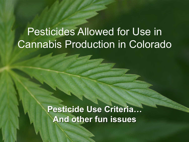### Pesticides Allowed for Use in Cannabis Production in Colorado

**Pesticide Use Criteria… And other fun issues**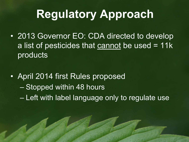# **Regulatory Approach**

- 2013 Governor EO: CDA directed to develop a list of pesticides that cannot be used  $= 11k$ products
- April 2014 first Rules proposed – Stopped within 48 hours – Left with label language only to regulate use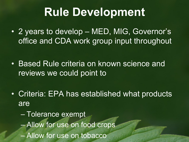## **Rule Development**

- 2 years to develop MED, MIG, Governor's office and CDA work group input throughout
- Based Rule criteria on known science and reviews we could point to
- Criteria: EPA has established what products are
	- Tolerance exempt – Allow for use on food crops – Allow for use on tobacco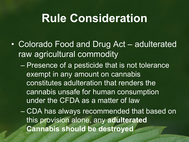## **Rule Consideration**

- Colorado Food and Drug Act adulterated raw agricultural commodity
	- Presence of a pesticide that is not tolerance exempt in any amount on cannabis constitutes adulteration that renders the cannabis unsafe for human consumption under the CFDA as a matter of law
	- CDA has always recommended that based on this provision alone, any **adulterated Cannabis should be destroyed**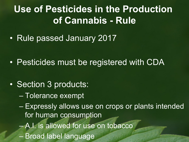#### **Use of Pesticides in the Production of Cannabis - Rule**

• Rule passed January 2017

- Pesticides must be registered with CDA
- Section 3 products:
	- Tolerance exempt
	- Expressly allows use on crops or plants intended for human consumption
	- A.I. is allowed for use on tobacco
	- Broad label language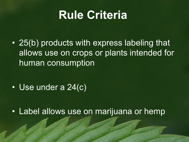## **Rule Criteria**

• 25(b) products with express labeling that allows use on crops or plants intended for human consumption

• Use under a 24(c)

• Label allows use on marijuana or hemp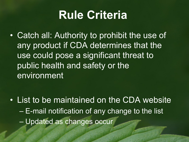## **Rule Criteria**

• Catch all: Authority to prohibit the use of any product if CDA determines that the use could pose a significant threat to public health and safety or the environment

• List to be maintained on the CDA website – E-mail notification of any change to the list – Updated as changes occur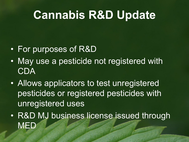# **Cannabis R&D Update**

- For purposes of R&D
- May use a pesticide not registered with CDA
- Allows applicators to test unregistered pesticides or registered pesticides with unregistered uses
- R&D MJ business license issued through **MED**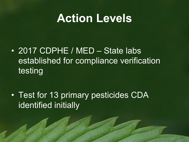### **Action Levels**

• 2017 CDPHE / MED – State labs established for compliance verification testing

• Test for 13 primary pesticides CDA identified initially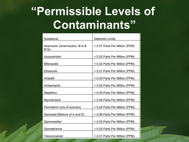# **"Permissible Levels of Contaminants"**

| Substance                                          | <b>Detection Limits</b>        |
|----------------------------------------------------|--------------------------------|
| Abamectin (Avermectins: B1a &<br>B <sub>1</sub> b) | < 0.07 Parts Per Million (PPM) |
| Azoxystrobin                                       | < 0.02 Parts Per Million (PPM) |
| <b>Bifenazate</b>                                  | < 0.02 Parts Per Million (PPM) |
| Etoxazole                                          | < 0.01 Parts Per Million (PPM) |
| Imazalil                                           | < 0.04 Parts Per Million (PPM) |
| Imidacloprid                                       | < 0.02 Parts Per Million (PPM) |
| Malathion                                          | < 0.05 Parts Per Million (PPM) |
| Myclobutanil                                       | < 0.04 Parts Per Million (PPM) |
| Permethrin (mix of isomers)                        | < 0.04 Parts Per Million (PPM) |
| Spinosad (Mixture of A and D)                      | < 0.06 Parts Per Million (PPM) |
| Spiromesifen                                       | < 0.03 Parts Per Million (PPM) |
| Spirotetramat                                      | < 0.02 Parts Per Million (PPM) |
| Tebuconazole                                       | < 0.01 Parts Per Million (PPM) |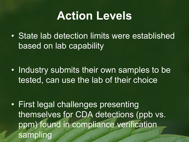## **Action Levels**

• State lab detection limits were established based on lab capability

• Industry submits their own samples to be tested, can use the lab of their choice

• First legal challenges presenting themselves for CDA detections (ppb vs. ppm) found in compliance verification sampling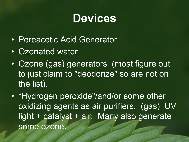## **Devices**

- Pereacetic Acid Generator
- Ozonated water
- Ozone (gas) generators (most figure out to just claim to "deodorize" so are not on the list).
- "Hydrogen peroxide"/and/or some other oxidizing agents as air purifiers. (gas) UV light + catalyst + air. Many also generate some ozone.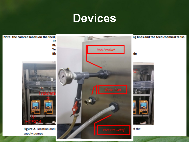## **Devices**